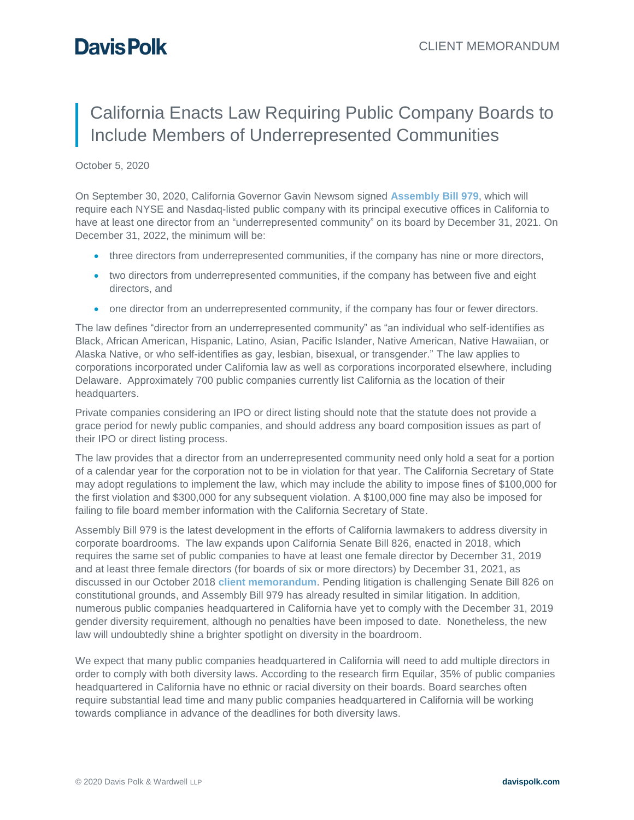## **Davis Polk**

## California Enacts Law Requiring Public Company Boards to Include Members of Underrepresented Communities

## October 5, 2020

On September 30, 2020, California Governor Gavin Newsom signed **[Assembly Bill 979](https://leginfo.legislature.ca.gov/faces/billTextClient.xhtml?bill_id=201920200AB979)**, which will require each NYSE and Nasdaq-listed public company with its principal executive offices in California to have at least one director from an "underrepresented community" on its board by December 31, 2021. On December 31, 2022, the minimum will be:

- three directors from underrepresented communities, if the company has nine or more directors,
- two directors from underrepresented communities, if the company has between five and eight directors, and
- one director from an underrepresented community, if the company has four or fewer directors.

The law defines "director from an underrepresented community" as "an individual who self-identifies as Black, African American, Hispanic, Latino, Asian, Pacific Islander, Native American, Native Hawaiian, or Alaska Native, or who self-identifies as gay, lesbian, bisexual, or transgender." The law applies to corporations incorporated under California law as well as corporations incorporated elsewhere, including Delaware. Approximately 700 public companies currently list California as the location of their headquarters.

Private companies considering an IPO or direct listing should note that the statute does not provide a grace period for newly public companies, and should address any board composition issues as part of their IPO or direct listing process.

The law provides that a director from an underrepresented community need only hold a seat for a portion of a calendar year for the corporation not to be in violation for that year. The California Secretary of State may adopt regulations to implement the law, which may include the ability to impose fines of \$100,000 for the first violation and \$300,000 for any subsequent violation. A \$100,000 fine may also be imposed for failing to file board member information with the California Secretary of State.

Assembly Bill 979 is the latest development in the efforts of California lawmakers to address diversity in corporate boardrooms. The law expands upon California Senate Bill 826, enacted in 2018, which requires the same set of public companies to have at least one female director by December 31, 2019 and at least three female directors (for boards of six or more directors) by December 31, 2021, as discussed in our October 2018 **[client memorandum](https://www.davispolk.com/files/2018-10-01_california_enacts_law_requiring_public_company_boards_to_include_women.pdf)**. Pending litigation is challenging Senate Bill 826 on constitutional grounds, and Assembly Bill 979 has already resulted in similar litigation. In addition, numerous public companies headquartered in California have yet to comply with the December 31, 2019 gender diversity requirement, although no penalties have been imposed to date. Nonetheless, the new law will undoubtedly shine a brighter spotlight on diversity in the boardroom.

We expect that many public companies headquartered in California will need to add multiple directors in order to comply with both diversity laws. According to the research firm Equilar, 35% of public companies headquartered in California have no ethnic or racial diversity on their boards. Board searches often require substantial lead time and many public companies headquartered in California will be working towards compliance in advance of the deadlines for both diversity laws.